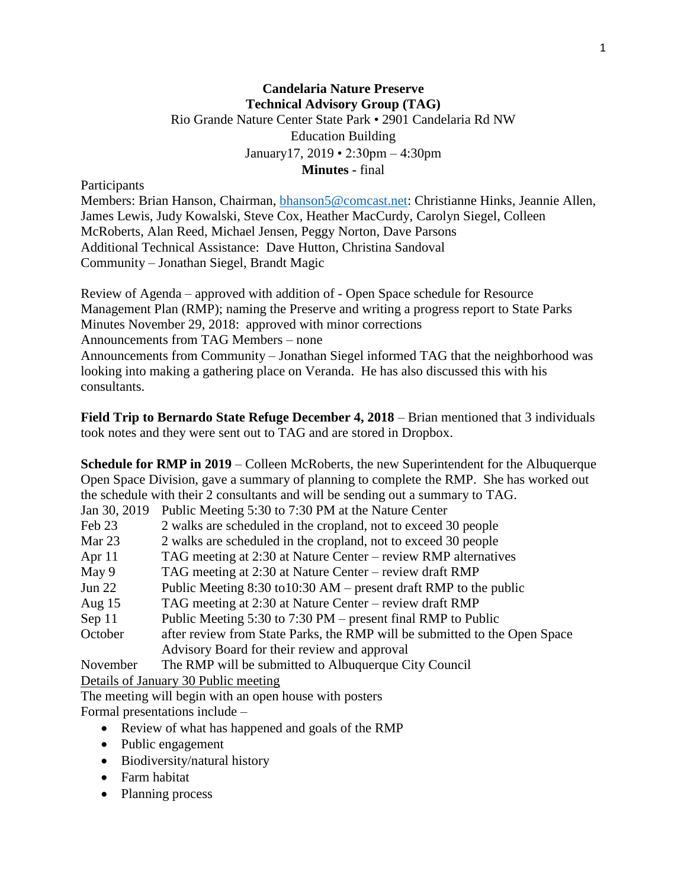## **Candelaria Nature Preserve Technical Advisory Group (TAG)** Rio Grande Nature Center State Park • 2901 Candelaria Rd NW Education Building January17, 2019 • 2:30pm – 4:30pm **Minutes -** final

Participants

Members: Brian Hanson, Chairman, [bhanson5@comcast.net:](mailto:bhanson5@comcast.net) Christianne Hinks, Jeannie Allen, James Lewis, Judy Kowalski, Steve Cox, Heather MacCurdy, Carolyn Siegel, Colleen McRoberts, Alan Reed, Michael Jensen, Peggy Norton, Dave Parsons Additional Technical Assistance: Dave Hutton, Christina Sandoval Community – Jonathan Siegel, Brandt Magic

Review of Agenda – approved with addition of - Open Space schedule for Resource Management Plan (RMP); naming the Preserve and writing a progress report to State Parks Minutes November 29, 2018: approved with minor corrections Announcements from TAG Members – none Announcements from Community – Jonathan Siegel informed TAG that the neighborhood was

looking into making a gathering place on Veranda. He has also discussed this with his consultants.

**Field Trip to Bernardo State Refuge December 4, 2018** – Brian mentioned that 3 individuals took notes and they were sent out to TAG and are stored in Dropbox.

**Schedule for RMP in 2019** – Colleen McRoberts, the new Superintendent for the Albuquerque Open Space Division, gave a summary of planning to complete the RMP. She has worked out the schedule with their 2 consultants and will be sending out a summary to TAG.

| Jan 30, 2019 | Public Meeting 5:30 to 7:30 PM at the Nature Center                        |
|--------------|----------------------------------------------------------------------------|
| Feb 23       | 2 walks are scheduled in the cropland, not to exceed 30 people             |
| Mar 23       | 2 walks are scheduled in the cropland, not to exceed 30 people             |
| Apr $11$     | TAG meeting at 2:30 at Nature Center – review RMP alternatives             |
| May 9        | TAG meeting at 2:30 at Nature Center – review draft RMP                    |
| Jun $22$     | Public Meeting $8:30$ to $10:30$ AM – present draft RMP to the public      |
| Aug $15$     | TAG meeting at 2:30 at Nature Center – review draft RMP                    |
| Sep 11       | Public Meeting 5:30 to 7:30 PM – present final RMP to Public               |
| October      | after review from State Parks, the RMP will be submitted to the Open Space |
|              | Advisory Board for their review and approval                               |
| November     | The RMP will be submitted to Albuquerque City Council                      |
|              | Details of January 30 Public meeting                                       |

Details of January 30 Public meeting

The meeting will begin with an open house with posters

Formal presentations include –

- Review of what has happened and goals of the RMP
- Public engagement
- Biodiversity/natural history
- Farm habitat
- Planning process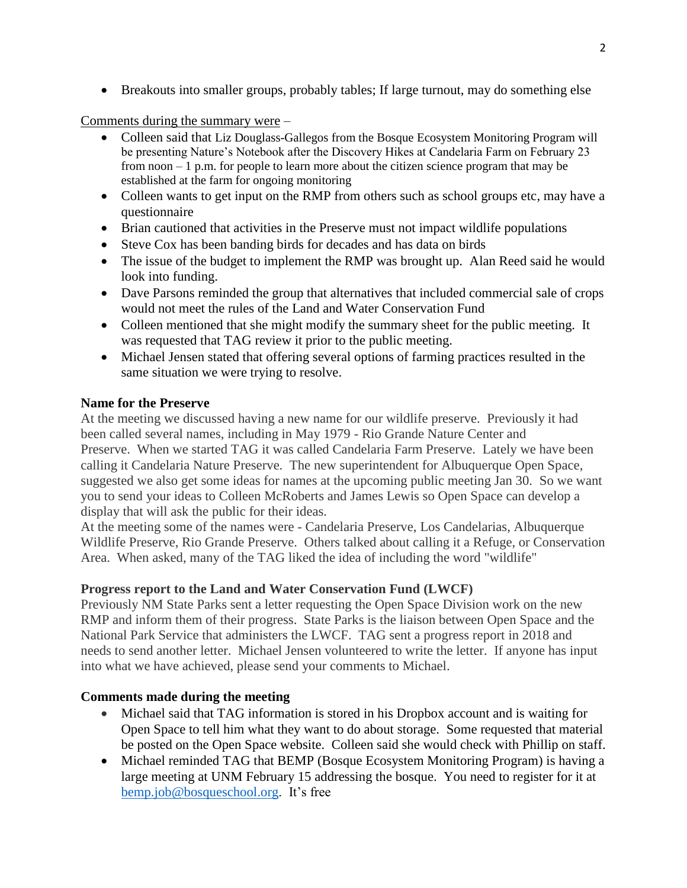• Breakouts into smaller groups, probably tables; If large turnout, may do something else

Comments during the summary were –

- Colleen said that Liz Douglass-Gallegos from the Bosque Ecosystem Monitoring Program will be presenting Nature's Notebook after the Discovery Hikes at Candelaria Farm on February 23 from noon – 1 p.m. for people to learn more about the citizen science program that may be established at the farm for ongoing monitoring
- Colleen wants to get input on the RMP from others such as school groups etc, may have a questionnaire
- Brian cautioned that activities in the Preserve must not impact wildlife populations
- Steve Cox has been banding birds for decades and has data on birds
- The issue of the budget to implement the RMP was brought up. Alan Reed said he would look into funding.
- Dave Parsons reminded the group that alternatives that included commercial sale of crops would not meet the rules of the Land and Water Conservation Fund
- Colleen mentioned that she might modify the summary sheet for the public meeting. It was requested that TAG review it prior to the public meeting.
- Michael Jensen stated that offering several options of farming practices resulted in the same situation we were trying to resolve.

## **Name for the Preserve**

At the meeting we discussed having a new name for our wildlife preserve. Previously it had been called several names, including in May 1979 - Rio Grande Nature Center and Preserve. When we started TAG it was called Candelaria Farm Preserve. Lately we have been calling it Candelaria Nature Preserve. The new superintendent for Albuquerque Open Space, suggested we also get some ideas for names at the upcoming public meeting Jan 30. So we want you to send your ideas to Colleen McRoberts and James Lewis so Open Space can develop a display that will ask the public for their ideas.

At the meeting some of the names were - Candelaria Preserve, Los Candelarias, Albuquerque Wildlife Preserve, Rio Grande Preserve. Others talked about calling it a Refuge, or Conservation Area. When asked, many of the TAG liked the idea of including the word "wildlife"

## **Progress report to the Land and Water Conservation Fund (LWCF)**

Previously NM State Parks sent a letter requesting the Open Space Division work on the new RMP and inform them of their progress. State Parks is the liaison between Open Space and the National Park Service that administers the LWCF. TAG sent a progress report in 2018 and needs to send another letter. Michael Jensen volunteered to write the letter. If anyone has input into what we have achieved, please send your comments to Michael.

## **Comments made during the meeting**

- Michael said that TAG information is stored in his Dropbox account and is waiting for Open Space to tell him what they want to do about storage. Some requested that material be posted on the Open Space website. Colleen said she would check with Phillip on staff.
- Michael reminded TAG that BEMP (Bosque Ecosystem Monitoring Program) is having a large meeting at UNM February 15 addressing the bosque. You need to register for it at [bemp.job@bosqueschool.org.](mailto:bemp.job@bosqueschool.org) It's free